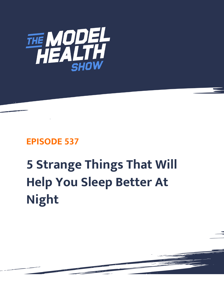

## **EPISODE 537**

## **5 Strange Things That Will Help You Sleep Better At Night**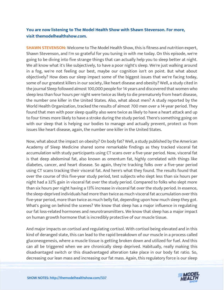## **You are now listening to The Model Health Show with Shawn Stevenson. For more, visit themodelhealthshow.com.**

**SHAWN STEVENSON:** Welcome to The Model Health Show, this is fitness and nutrition expert, Shawn Stevenson, and I'm so grateful for you tuning in with me today. On this episode, we're going to be diving into five strange things that can actually help you to sleep better at night. We all know what it's like subjectively, to have a poor night's sleep. We're just walking around in a fog, we're not feeling our best, maybe our cognition isn't on point. But what about objectively? How does our sleep impact some of the biggest issues that we're facing today, some of our greatest killers in our society, like heart disease and obesity? Well, a study cited in the journal Sleep followed almost 100,000 people for 14 years and discovered that women who sleep less than four hours per night were twice as likely to die prematurely from heart disease, the number one killer in the United States. Also, what about men? A study reported by the World Health Organization, tracked the results of almost 700 men over a 14-year period. They found that men with poor sleep quality also were twice as likely to have a heart attack and up to four times more likely to have a stroke during the study period. There's something going on with our sleep that is helping our bodies to manage and actually prevent, protect us from issues like heart disease, again, the number one killer in the United States.

Now, what about the impact on obesity? On body fat? Well, a study published by the American Academy of Sleep Medicine shared some remarkable findings as they tracked visceral fat accumulation with study participants using CT scans over a five-year period. Now, visceral fat is that deep abdominal fat, also known as omentum fat, highly correlated with things like diabetes, cancer, and heart disease. So again, they're tracking folks over a five-year period using CT scans tracking their visceral fat. And here's what they found. The results found that over the course of this five-year study period, test subjects who slept less than six hours per night had a 32% gain in visceral fat over the study period. Compared to folks who slept more than six hours per night having a 13% increase in visceral fat over the study period. In essence, the sleep-deprived individuals had more than twice as much visceral fat accumulation over this five-year period, more than twice as much belly fat, depending upon how much sleep they got. What's going on behind the scenes? We know that sleep has a major influence in regulating our fat loss-related hormones and neurotransmitters. We know that sleep has a major impact on human growth hormone that is incredibly protective of our muscle tissue.

And major impacts on cortisol and regulating cortisol. With cortisol being elevated and in this kind of deranged state, this can lead to the rapid breakdown of our muscle in a process called gluconeogenesis, where a muscle tissue is getting broken down and utilized for fuel. And this can all be triggered when we are chronically sleep deprived. Habitually, really making this disadvantaged switch or this disadvantaged alteration take place in our body fat ratio. So, [decreasing our lean mass and increasing our fat mass. Again, this regulatory force is our sleep](https://themodelhealthshow.com/sleep-better/)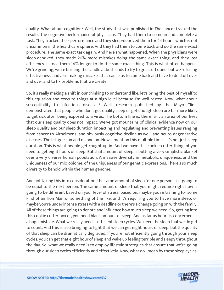quality. What about cognition? Well, the study that was published in The Lancet tracked the results, the cognitive performance of physicians. They had them to come in and complete a task. They tracked their performance and they sleep-deprived them for 24 hours, which is not uncommon in the healthcare sphere. And they had them to come back and do the same exact procedure. The same exact task again. And here's what happened. When the physicians were sleep-deprived, they made 20% more mistakes doing the same exact thing, and they lost efficiency. It took them 14% longer to do the same exact thing. This is what often happens. We're grinding, we're burning the candle at both ends to try to get stuff done, but we're losing effectiveness, and also making mistakes that cause us to come back and have to do stuff over and over and to fix problems that we create.

So, it's really making a shift in our thinking to understand like, let's bring the best of myself to this equation and execute things at a high level because I'm well rested. Now, what about susceptibility to infectious diseases? Well, research published by the Mayo Clinic demonstrated that people who don't get quality sleep or get enough sleep are far more likely to get sick after being exposed to a virus. The bottom line is, there isn't an area of our lives that our sleep quality does not impact. We've got mountains of clinical evidence now on our sleep quality and our sleep duration impacting and regulating and preventing issues ranging from cancer to Alzheimer's, and obviously cognitive decline as well, and neuro-degenerative diseases. The list goes on and on and on. Now, I mention this multiple times. It's not just sleep duration. This is what people get caught up in. And we have this cookie-cutter thing, of you need to get eight hours of sleep. But that amount of sleep is putting a very simplistic blanket over a very diverse human population. A massive diversity in metabolic uniqueness, and the uniqueness of our microbiome, of the uniqueness of our genetic expressions. There's so much diversity to behold within the human genome.

And not taking this into consideration, the same amount of sleep for one person isn't going to be equal to the next person. The same amount of sleep that you might require right now is going to be different based on your level of stress, based on, maybe you're training for some kind of an Iron Man or something of the like, and it's requiring you to have more sleep, or maybe you're under intense stress with a deadline or there's a change going on with the family. All of these things are going to denote and influence how much sleep we need. So, getting into this cookie cutter box of, you need blank amount of sleep. And as far as hours is concerned, is a huge mistake. What we really need is efficient sleep cycles. We need the sleep that we do get to count. And this is also bringing to light that we can get eight hours of sleep, but the quality of that sleep can be dramatically degraded. If you're not efficiently going through your sleep cycles, you can get that eight hour of sleep and wake up feeling terrible and sleepy throughout the day. So, what we really need is to employ lifestyle strategies that ensure that we're going through our sleep cycles efficiently and effectively. Now, what do I mean by these sleep cycles,

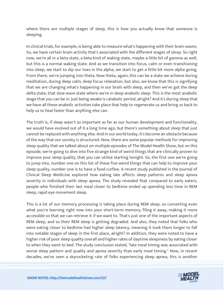where there are multiple stages of sleep, this is how you actually know that someone is sleeping.

In clinical trials, for example, is being able to measure what's happening with their brain waves. So, we have certain brain activity that's associated with the different stages of sleep. So right now, we're all in a beta state, a beta kind of waking state, maybe a little bit of gamma as well, but this is a normal waking state. And as we transition into focus, calm or even transitioning into sleep, we start to dip our toes in the alpha, we start to get a little bit more alpha going. From there, we're jumping into theta. Now theta, again, this can be a state we achieve during meditation, during deep calm, deep focus relaxation, but also, we know that this is signifying that we are changing what's happening in our brain with sleep, and then we've got the deep delta state, that slow wave state where we're in deep anabolic sleep. This is the most anabolic stage that you can be in. Just being awake is catabolic period, alright? And it's during sleep that we have all these anabolic activities take place that help to regenerate us and bring us back to help us to heal faster than anything else can.

The truth is, if sleep wasn't so important as far as our human development and functionality, we would have evolved out of it a long time ago, but there's something about sleep that just cannot be replaced with anything else. And in our world today, it's become an obstacle because of the way that our society is structured. Now, there are some popular methods for improving sleep quality that we talked about on multiple episodes of The Model Health Show, but on this episode, we're going to dive into five strange kind of weird things that are clinically proven to improve your sleep quality, that you can utilize starting tonight. So, the first one we're going to jump into, number one on this list of these five weird things that can help to improve your sleep quality, number one is to have a food curfew. A recent study published in the Journal of Clinical Sleep Medicine explored how eating late affects sleep patterns and sleep apnea severity in individuals with sleep apnea. The study revealed that compared to early eaters, people who finished their last meal closer to bedtime ended up spending less time in REM sleep, rapid eye movement sleep.

This is a lot of our memory processing is taking place during REM sleep, so converting even what you're learning right now into your short-term memory, filing it away, making it more accessible so that we can retrieve it if we want to. That's just one of the important aspects of REM sleep, and so their REM sleep is getting degraded. And also, they noted that folks who were eating closer to bedtime had higher sleep latency, meaning it took them longer to fall into notable stages of sleep in the first place, alright? In addition, they were noted to have a higher risk of poor sleep quality overall and higher rates of daytime sleepiness by eating closer to when they went to bed. The study conclusion stated, "late meal timing was associated with worse sleep pattern and quality and apnea severity than early meal timing." Now, in recent [decades, we](https://themodelhealthshow.com/sleep-better/)'[ve seen a skyrocketing rate of folks experiencing sleep apnea, this is another](https://themodelhealthshow.com/sleep-better/)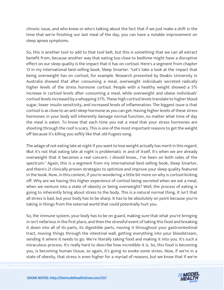chronic issue, and who knew or who's talking about the fact that if we just make a shift in the time that we're finishing our last meal of the day, you can have a notable improvement on sleep apnea symptoms.

So, this is another tool to add to that tool belt, but this is something that we can all extract benefit from, because another way that eating too close to bedtime might have a disruptive effect on our sleep quality is the impact that it has on cortisol. Here's a segment from chapter 13 in my international best-selling book, Sleep Smarter. "Let's take a look at the impact that being overweight has on cortisol, for example. Research presented by Deakin University in Australia showed that after consuming a meal, overweight individuals secreted radically higher levels of the stress hormone cortisol. People with a healthy weight showed a 5% increase in cortisol levels after consuming a meal, while overweight and obese individuals' cortisol levels increased by a whopping 51%. These high cortisol levels translate to higher blood sugar, lower insulin sensitivity, and increased levels of inflammation. The biggest issue is that cortisol is as close to an anti-sleep hormone as you can get. Having higher levels of these stress hormones in your body will inherently damage normal function, no matter what time of day the meal is eaten. To know that each time you eat a meal that your stress hormones are shooting through the roof is scary. This is one of the most important reasons to get the weight off because it's killing you softly like that old Fugees song.

The adage of not eating late at night if you want to lose weight actually has merit in this regard. IBut it's not that eating late at night is problematic in and of itself. It's when we are already overweight that it becomes a real concern. I should know… I've been on both sides of the spectrum." Again, this is a segment from my international best-selling book, Sleep Smarter, and there's 21 clinically proven strategies to optimize and improve your sleep quality featured in the book. Now, in this context, if you're wondering a little bit more on why is cortisol kicking off. Why are we having this higher experience of cortisol being secreted when we eat a meal, when we venture into a state of obesity or being overweight? Well, the process of eating is going to inherently bring about stress to the body. This is a natural normal thing. It isn't that all stress is bad, but your body has to be sharp. It has to be absolutely on point because you're taking in things from the external world that could potentially hurt you.

So, the immune system, your body has to be on guard, making sure that what you're bringing in isn't nefarious in the first place, and then the stressful event of taking this food and breaking it down into all of its parts, its digestible parts, moving it throughout your gastrointestinal tract, moving things through the intestinal wall, getting everything into your bloodstream, sending it where it needs to go. We're literally taking food and making it into you. It's such a miraculous process. It's really hard to describe how incredible it is. So, this food is becoming you, is becoming human tissue, so again, it's going to evoke some stress. Now, if we're in a state [of obesity, that stress is even higher for a myriad of reasons, but we know that if we](https://themodelhealthshow.com/sleep-better/)'[re](https://themodelhealthshow.com/sleep-better/)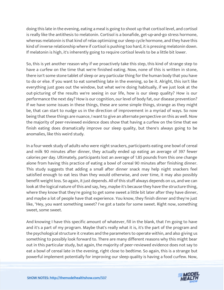doing this late in the evening, eating a meal is going to shoot up that cortisol level, and cortisol is really like the antithesis to melatonin. Cortisol is a bonafide, get-up-and-go stress hormone, whereas melatonin is that kind of relax optimizing our sleep cycle hormone, and they have this kind of inverse relationship where if cortisol is pushing too hard, it is pressing melatonin down. If melatonin is high, it's inherently going to require cortisol levels to be a little bit lower.

So, this is yet another reason why if we proactively take this step, this kind of strange step to have a curfew on the time that we're finished eating. Now, none of this is written in stone, there isn't some stone tablet of sleep or any particular thing for the human body that you have to do or else. If you want to eat something late in the evening, so be it. Alright, this isn't like everything just goes out the window, but what we're doing habitually, if we just look at the out-picturing of the results we're seeing in our life, how is our sleep quality? How is our performance the next day? How is our cognition, our level of body fat, our disease prevention? If we have some issues in these things, these are some simple things, strange as they might be, that can start to nudge us in the direction of improvement in a myriad of ways. So now being that these things are nuance, I want to give an alternate perspective on this as well. Now the majority of peer-reviewed evidence does show that having a curfew on the time that we finish eating does dramatically improve our sleep quality, but there's always going to be anomalies, like this weird study.

In a four-week study of adults who were night snackers, participants eating one bowl of cereal and milk 90 minutes after dinner, they actually ended up eating an average of 397 fewer calories per day. Ultimately, participants lost an average of 1.85 pounds from this one change alone from having this practice of eating a bowl of cereal 90 minutes after finishing dinner. This study suggests that adding a small after dinner snack may help night snackers feel satisfied enough to eat less than they would otherwise, and over time, it may also possibly benefit weight loss. So again, it just depends. All of this stuff always depends on us, and we can look at the logical nature of this and say, hey, maybe it's because they have the structure thing, where they know that they're going to get some sweet a little bit later after they have dinner, and maybe a lot of people have that experience. You know, they finish dinner and they're just like, "Hey, you want something sweet? I've got a taste for some sweet. Right now, something sweet, some sweet.

And knowing I have this specific amount of whatever, fill in the blank, that I'm going to have and it's a part of my program. Maybe that's really what it is, it's the part of the program and the psychological structure it creates and the parameters to operate within, and also giving us something to possibly look forward to. There are many different reasons why this might bear out in this particular study, but again, the majority of peer-reviewed evidence does not say to eat a bowl of cereal late in the evening, right close to bedtime. So again, this is a strange but [powerful implement potentially for improving our sleep quality is having a food curfew. Now,](https://themodelhealthshow.com/sleep-better/)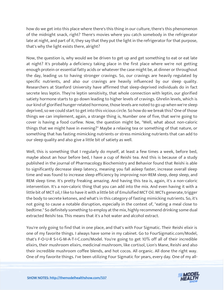how do we get into this place where there's this thing in our culture, there's this phenomenon of the midnight snack, right? There's movies where you catch somebody in the refrigerator late at night, and part of it, they say that they put the light in the refrigerator for that purpose, that's why the light exists there, alright?

Now, the question is, why would we be driven to get up and get something to eat or eat late at night? It's probably a deficiency taking place in the first place where we're not getting enough protein or essential fatty acids or whatever the case might be, at dinner or throughout the day, leading us to having stronger cravings. So, our cravings are heavily regulated by specific nutrients, and also our cravings are heavily influenced by our sleep quality. Researchers at Stanford University have affirmed that sleep-deprived individuals do in fact secrete less leptin. They're leptin sensitivity, that whole connection with leptin, our glorified satiety hormone starts to go down leading to higher levels of cravings. Ghrelin levels, which is our kind of glorified hunger-related hormone, those levels are noted to go up when we're sleep deprived, so we could start to get into this vicious circle. So how do we break this? One of those things we can implement, again, a strange thing is, Number one of five, that we're going to cover is having a food curfew. Now, the question might be, "Well, what about non-caloric things that we might have in evening?" Maybe a relaxing tea or something of that nature, or something that has fasting mimicking nutrients or stress mimicking nutrients that can add to our sleep quality and also give a little bit of satiety as well.

Well, this is something that I regularly do myself, at least a few times a week, before bed, maybe about an hour before bed, I have a cup of Reishi tea. And this is because of a study published in the journal of Pharmacology Biochemistry and Behavior found that Reishi is able to significantly decrease sleep latency, meaning you fall asleep faster, increase overall sleep time and was found to increase sleep efficiency by improving non-REM sleep, deep sleep, and REM sleep time. It's pretty freaking amazing. And having this tea is, again, it's a non-caloric intervention. It's a non-caloric thing that you can add into the mix. And even having it with a little bit of MCT oil, I like to have it with a little bit of Emulsified MCT Oil. MCTs generate, trigger the body to secrete ketones, and what's in this category of fasting mimicking nutrients. So, it's not going to cause a notable disruption, especially in the context of, "eating a meal close to bedtime." So definitely something to employ at the mix, highly recommend drinking some dual extracted Reishi tea. This means that it's a hot water and alcohol extract.

You're only going to find that in one place, and that's with Four Sigmatic. Their Reishi elixir is one of my favorite things. I always have some in my cabinet. Go to FourSigmatic.com/Model, that's F-O-U-R S-I-G-M-A-T-I-C.com/Model. You're going to get 10% off all of their incredible elixirs, their mushroom elixirs, medicinal mushroom, like cortisol, Lion's Mane, Reishi and also their incredible mushroom coffee blends, and hot cocos. All organic. All done the right way. [One of my favorite things. I](https://themodelhealthshow.com/sleep-better/)'[ve been utilizing Four Sigmatic for years, every day. One of my all-](https://themodelhealthshow.com/sleep-better/)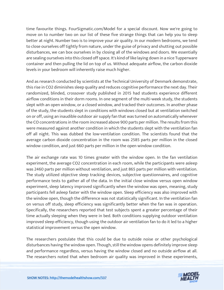time favourite things. FourSigmatic.com/Model for a special discount. Now we're going to move on to number two on our list of these five strange things that can help you to sleep better at night. Number two is to improve your air quality. In our modern bedrooms, we tend to close ourselves off tightly from nature, under the guise of privacy and shutting out possible disturbances, we can box ourselves in by closing all of the windows and doors. We essentially are sealing ourselves into this closed off space. It's kind of like laying down in a nice Tupperware container and then pulling the lid on top of us. Without adequate airflow, the carbon dioxide levels in your bedroom will inherently raise much higher.

And as research conducted by scientists at the Technical University of Denmark demonstrate, this rise in CO2 diminishes sleep quality and reduces cognitive performance the next day. Their randomized, blinded, crossover study published in 2015 had students experience different airflow conditions in their dorm rooms. In one segment of the multi-week study, the students slept with an open window, or a closed window, and tracked their outcomes. In another phase of the study, the students slept in conditions with windows closed but at ventilation switched on or off, using an inaudible outdoor air supply fan that was turned on automatically whenever the CO concentrations in the room increased above 900 parts per million. The results from this were measured against another condition in which the students slept with the ventilation fan off all night. This was dubbed the low-ventilation condition. The scientists found that the average carbon dioxide concentration in the room was 2585 parts per million in the closed window condition, and just 660 parts per million in the open window condition.

The air exchange rate was 10 times greater with the window open. In the fan ventilation experiment, the average CO2 concentration in each room, while the participants were asleep was 2460 parts per million without ventilation, and just 865 parts per million with ventilation. The study utilized objective sleep tracking devices, subjective questionnaires, and cognitive performance tests to gather all of the data. In the initial close window versus open window experiment, sleep latency improved significantly when the window was open, meaning, study participants fell asleep faster with the window open. Sleep efficiency was also improved with the window open, though the difference was not statistically significant. In the ventilation fan on versus off study, sleep efficiency was significantly better when the fan was in operation. Specifically, the researchers reported that test subjects spent a greater percentage of their time actually sleeping when they were in bed. Both conditions supplying outdoor ventilation improved sleep efficiency, though using the outdoor air ventilation fan to do it led to a higher statistical improvement versus the open window.

The researchers postulate that this could be due to outside noise or other psychological disturbances having the window open. Though, still the window opens definitely improve sleep and performance regardless, versus having the window closed and no outside airflow at all. [The researchers noted that when bedroom air quality was improved in these experiments,](https://themodelhealthshow.com/sleep-better/)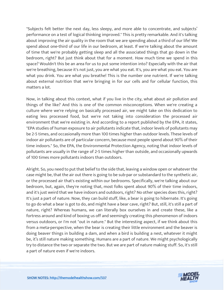"Subjects felt better the next day, less sleepy, and more able to concentrate, and subjects' performance on a test of logical thinking improved." This is pretty remarkable. And it's talking about improving the air quality in the room that we are spending about a third of our life! We spend about one-third of our life in our bedroom, at least. If we're talking about the amount of time that we're probably getting sleep and all the associated things that go down in the bedroom, right? But just think about that for a moment. How much time we spend in this space? Wouldn't this be an area for us to put some intention into? Especially with the air that we're breathing, because it's not just, you are what you eat. It's, you are what you eat. You are what you drink. You are what you breathe! This is the number one nutrient. If we're talking about external nutrition that we're bringing in for our cells and for cellular function, this matters a lot.

Now, in talking about this context, what if you live in the city, what about air pollution and things of the like? And this is one of the common misconceptions. When we're creating a culture where we're relying on basically processed air, we might take on this dedication to eating less processed food, but we're not taking into consideration the processed air environment that we're existing in. And according to a report published by the EPA, it states, "EPA studies of human exposure to air pollutants indicate that, indoor levels of pollutants may be 2-5 times, and occasionally more than 100 times higher than outdoor levels. These levels of indoor air pollutants are of particular concern, because most people spend about 90% of their time indoors." So, the EPA, the Environmental Protection Agency, noting that indoor levels of pollutants are usually in the range of 2-5 times higher than outside, and occasionally upwards of 100 times more pollutants indoors than outdoors.

Alright. So, you need to put that belief to the side that, leaving a window open or whatever the case might be, that the air out there is going to be sub-par or substandard to the synthetic air, or the processed air that's existing within our bedrooms. Specifically, we're talking about our bedroom, but, again, they're noting that, most folks spent about 90% of their time indoors, and it's just weird that we have indoors and outdoors, right? No other species does this, right? It's just a part of nature. Now, they can build stuff, like, a bear is going to hibernate. It's going to go do what a bear is got to do, and might have a bear cave, right? But, still, it's still a part of nature, right? Whereas humans, we can literally box ourselves in and create these, like a fortress around and kind of boxing us off and seemingly creating this phenomenon of indoors versus outdoors, or I'm not "out in nature." But the interesting aspect, if we think about this from a meta-perspective, when the bear is creating their little environment and the beaver is doing beaver things in building a dam, and when a bird is building a nest, whatever it might be, it's still nature making something. Humans are a part of nature. We might psychologically try to distance the two or separate the two. But we are part of nature making stuff. So, it's still a part of nature even if we're indoors.

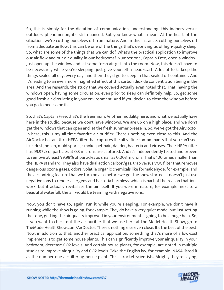So, this is simply for the dictation of communication, understanding, this indoors versus outdoors phenomenon, it's still nuanced. But you know what I mean. At the heart of the situation, we're cutting ourselves off from nature. And in this instance, cutting ourselves off from adequate airflow, this can be one of the things that's depriving us of high-quality sleep. So, what are some of the things that we can do? What's the practical application to improve our air flow and our air quality in our bedrooms? Number one, Captain Free, open a window! Just open up the window and let some fresh air get into the room. Now, this doesn't have to be necessarily while you're sleeping, just give yourself a head-start. A lot of folks keep the things sealed all day, every day, and then they'd go to sleep in that sealed off container. And it's leading to an even more magnified effect of this carbon dioxide concentration being in the area. And the research, the study that we covered actually even noted that. That, having the windows open, having some circulation, even prior to sleep can definitely help. So, get some good fresh air circulating in your environment. And if you decide to close the window before you go to bed, so be it.

So, that's Captain Free, that's the freemium. Another modality here, and what we actually have here in the studio, because we don't have windows. We are up on a high place, and we don't get the windows that can open and let the fresh summer breeze in. So, we've got the AirDoctor in here, this is my all-time favorite air purifier. There's nothing even close to this. And the AirDoctor has an Ultra-HEPA filter that captures the ultra-fine contaminants that you can't see, like, dust, pollen, mold spores, smoke, pet hair, dander, bacteria and viruses. Their HEPA filter has 99.97% of particles at 0.3 microns are captured. And it's independently tested and proven to remove at least 99.99% of particles as small as 0.003 microns. That's 100 times smaller than the HEPA standard. They also have dual action carbon/gas, trap versus VOC filter that removes dangerous ozone gases, odors, volatile organic chemicals like formaldehyde, for example, and the air-ionizing feature that we turn on also before we get the show started. It doesn't just use negative ions to render allergens and bacteria harmless, which is part of the reason that ions work, but it actually revitalizes the air itself. If you were in nature, for example, next to a beautiful waterfall, the air would be teaming with negative ions.

Now, you don't have to, again, run it while you're sleeping. For example, we don't have it running while the show is going, for example. They do have a very quiet mode, but just setting the tone, getting the air quality improved in your environment is going to be a huge help. So, if you want to check out the air purifier that we use here at the Model Health Show, go to TheModelHealthShow.com/AirDoctor. There's nothing else even close. It's the best of the best. Now, in addition to that, another practical application, something that's more of a low-cost implement is to get some house plants. This can significantly improve your air quality in your bedroom, decrease CO2 levels. And certain house plants, for example, are noted in multiple studies to improve air quality and CO2 levels. Take the English ivy, for example. NASA listed it [as the number one air-filtering house plant. This is rocket scientists. Alright, they](https://themodelhealthshow.com/sleep-better/)'[re saying,](https://themodelhealthshow.com/sleep-better/)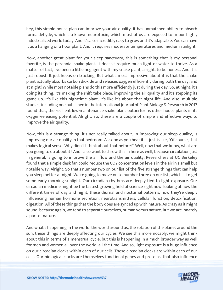hey, this simple house plan can improve your air quality. It has unmatched ability to absorb formaldehyde, which is a known neurotoxin, which most of us are exposed to in our highly industrialized world today. And it's also incredibly easy to grow and it's adaptable. You can have it as a hanging or a floor plant. And it requires moderate temperatures and medium sunlight.

Now, another great plant for your sleep sanctuary, this is something that is my personal favorite, is the perennial snake plant. It doesn't require much light or water to thrive. As a matter of fact, I've been a little negligent with my snake plant, alright, to be honest. And it is just robust! It just keeps on trucking. But what's most impressive about it is that the snake plant actually absorbs carbon dioxide and releases oxygen efficiently during both the day, and at night! While most notable plans do this more efficiently just during the day. So, at night, it's doing its thing, it's making the shift take place, improving the air quality and it's stepping its game up. It's like this nighttime plant. It's like it's about that night life. And also, multiple studies, including one published in the International Journal of Plant Biology & Research in 2017 found that, the resilient low-maintenance snake plant outperforms other house plants in its oxygen-releasing potential. Alright. So, these are a couple of simple and effective ways to improve the air quality.

Now, this is a strange thing, it's not really talked about. In improving our sleep quality, is improving our air quality in that bedroom. As soon as you hear it, it just is like, "Of course, that makes logical sense. Why didn't I think about that before?" Well, now that we know, what are you going to do about it? And I also want to throw this in here as well, because circulation just in general, is going to improve the air flow and the air quality. Researchers at UC Berkeley found that a simple desk fan could reduce the CO2 concentration levels in the air in a small but notable way. Alright. So that's number two on our list of the five strange things that can help you sleep better at night. We're going to move on to number three on our list, which is to get some early morning sunlight. Our circadian rhythms are deeply tied to light exposure. Our circadian medicine might be the fastest growing field of science right now, looking at how the different times of day and night, these diurnal and nocturnal patterns, how they're deeply influencing human hormone secretion, neurotransmitters, cellular function, detoxification, digestion. All of these things that the body does are synced up with nature. As crazy as it might sound, because again, we tend to separate ourselves, human versus nature. But we are innately a part of nature.

And what's happening in the world, the world around us, the rotation of the planet around the sun, these things are deeply affecting our cycles. We see this more notably, we might think about this in terms of a menstrual cycle, but this is happening in a much broader way as well for men and women all over the world, all the time. And so, light exposure is a huge influence on our circadian clocks within each of our cells. These circadian clocks are within each of our [cells. Our biological clocks are themselves functional genes and proteins, that also influence](https://themodelhealthshow.com/sleep-better/) 

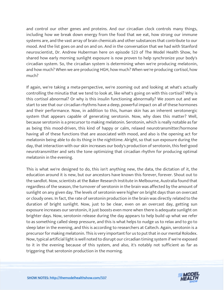and control our other genes and proteins. And our circadian clock controls many things, including how we break down energy from the food that we eat, how strong our immune systems are, and the vast array of brain chemicals and other substances that contribute to our mood. And the list goes on and on and on. And in the conversation that we had with Stanford neuroscientist, Dr. Andrew Huberman here on episode 523 of The Model Health Show, he shared how early morning sunlight exposure is now proven to help synchronize your body's circadian system. So, the circadian system is determining when we're producing melatonin, and how much? When we are producing HGH, how much? When we're producing cortisol, how much?

If again, we're taking a meta-perspective, we're zooming out and looking at what's actually controlling the minutia that we tend to look at, like what's going on with this cortisol? Why is this cortisol abnormal? Or why is this insulin functioning abnormally? We zoom out and we start to see that our circadian rhythms have a deep, powerful impact on all of these hormones and their performance. Now, in addition to this, human skin has an inherent serotonergic system that appears capable of generating serotonin. Now, why does this matter? Well, because serotonin is a precursor to making melatonin. Serotonin, which is really notable as far as being this mood-driven, this kind of happy or calm, relaxed neurotransmitter/hormone having all of these functions that are associated with mood, and also is the opening act for melatonin being able to do its thing in the nighttime. Alright, so that sun exposure during the day, that interaction with our skin increases our body's production of serotonin, this feel-good neurotransmitter and sets the tone optimizing that circadian rhythm for producing optimal melatonin in the evening.

This is what we're designed to do, this isn't anything new, the data, the dictation of it, the education around it is new, but our ancestors have known this forever, forever. Shout out to the sandlot. Now, scientists at the Baker Research Institute in Melbourne, Australia found that regardless of the season, the turnover of serotonin in the brain was affected by the amount of sunlight on any given day. The levels of serotonin were higher on bright days than on overcast or cloudy ones. In fact, the rate of serotonin production in the brain was directly related to the duration of bright sunlight. Now, just to be clear, even on an overcast day, getting sun exposure increases our serotonin, it just boosts even more when there is adequate sunlight on brighter days. Now, serotonin release during the day appears to help build up what we refer to as something called sleep pressure, and this is what helps to nudge us to relax and to go to sleep later in the evening, and this is according to researchers at Caltech. Again, serotonin is a precursor for making melatonin. This is very important for us to put that in our mental Rolodex. Now, typical artificial light is well noted to disrupt our circadian timing system if we're exposed to it in the evening because of this system, and also, it's notably not sufficient as far as triggering that serotonin production in the morning.

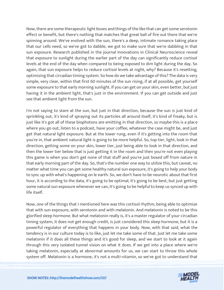Now, there are some therapeutic light boxes and things of the like that can get some serotonin effect or benefit, but there's nothing that matches that great ball of fire out there that we're spinning around. We've evolved with the sun, there's a deep, intimate romance taking place that our cells need, so we've got to dabble, we got to make sure that we're dabbling in that sun exposure. Research published in the journal Innovations in Clinical Neuroscience reveal that exposure to sunlight during the earlier part of the day can significantly reduce cortisol levels at the end of the day when compared to being exposed to dim light during the day. So again, that sun exposure helps to reduce cortisol levels at night, why? Because it's resetting, optimizing that circadian timing system. So how do we take advantage of this? The data is very simple, very clear, within that first 60 minutes of the sun rising, if at all possible, get yourself some exposure to that early morning sunlight. If you can get on your skin, even better, but just having it in the ambient light, that's just in the environment. If you can get outside and just see that ambient light from the sun.

I'm not saying to stare at the sun, but just in that direction, because the sun is just kind of sprinkling out, it's kind of spraying out its particles all around itself, it's kind of freaky, but is just like it's got all of these biophotons are emitting in that direction, so maybe this is a place where you go out, listen to a podcast, have your coffee, whatever the case might be, and just get that natural light exposure. But at the lower rung, even if it's getting into the room that you're in, that ambient natural light is going to be more helpful. So, top tier, light, look in that direction, getting some on your skin, lower tier, just being able to look in that direction, and then the lower tier below that is just getting it in the room and then you're not even playing this game is when you don't get none of that stuff and you're just boxed off from nature in that early morning part of the day. So, that's the number one way to utilize this, but caveat, no matter what time you can get some healthy natural sun exposure, it's going to help your body to sync up with what's happening on le earth. So, we don't have to be neurotic about that first hour, it is according to the data, it's going to be optimal, it's going to be best, but just getting some natural sun exposure whenever we can, it's going to be helpful to keep us synced up with life itself.

Now, one of the things that I mentioned here was this cortisol rhythm, being able to optimize that with sun exposure, with serotonin and with melatonin. And melatonin is noted to be this glorified sleep hormone. But what melatonin really is, it's a master regulator of your circadian timing system, it does not get enough credit, is just considered this sleep hormone, but it is a powerful regulator of everything that happens in your body. Now, with that said, what the tendency is in our culture today is to like, just let me take some of that. Just let me take some melatonin if it does all these things and it's good for sleep, and we start to look at it again through this very isolated tunnel vision on what it does. If we get into a place where we're taking melatonin, especially at abnormal amounts for us, we can start to throw this whole [system off. Melatonin is a hormone, it](https://themodelhealthshow.com/sleep-better/)'[s not a multi-vitamin, so we](https://themodelhealthshow.com/sleep-better/)'[ve got to understand that](https://themodelhealthshow.com/sleep-better/)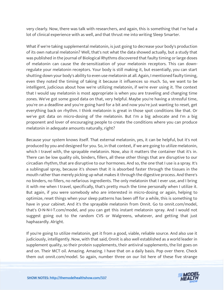very clearly. Now, there was talk with researchers, and again, this is something that I've had a lot of clinical experience with as well, and that thrust me into writing Sleep Smarter.

What if we're taking supplemental melatonin, is just going to decrease your body's production of its own natural melatonin? Well, that's not what the data showed actually, but a study that was published in the journal of Biological Rhythms discovered that faulty timing or large doses of melatonin can cause the de-sensitization of your melatonin receptors. This can downregulate your melatonin receptors. Your body is still making it, but essentially, you can start shutting down your body's ability to even use melatonin at all. Again, I mentioned faulty timing, even they noted the timing of taking it because it influences so much. So, we want to be intelligent, judicious about how we're utilizing melatonin, if we're ever using it. The context that I would say melatonin is most appropriate is when you are traveling and changing time zones. We've got some good data on that, very helpful. Maybe you're having a stressful time, you're on a deadline and you're going hard for a bit and now you're just wanting to reset, get everything back on rhythm. I think melatonin is great in those spot conditions like that. Or we've got data on micro-dosing of the melatonin. But I'm a big advocate and I'm a big proponent and lover of encouraging people to create the conditions where you can produce melatonin in adequate amounts naturally, right?

Because your system knows itself. That external melatonin, yes, it can be helpful, but it's not produced by you and designed for you. So, in that context, if we are going to utilize melatonin, which I travel with, the sprayable melatonin. Now, also it matters the container that it's in. There can be low quality oils, binders, fillers, all these other things that are disruptive to our circadian rhythm, that are disruptive to our hormones. And so, the one that I use is a spray. It's a sublingual spray, because it's shown that it is absorbed faster through the tissues in the mouth rather than merely picking up what makes it through the digestive process. And there's no binders, no fillers, no nefarious ingredients. The only melatonin that I ever use, and I bring it with me when I travel, specifically, that's pretty much the time personally when I utilize it. But again, if you were somebody who are interested in micro-dosing or again, helping to optimize, reset things when your sleep patterns has been off for a while, this is something to have in your cabinet. And it's the sprayable melatonin from Onnit. Go to onnit.com/model, that's O-N-N-I-T.com/model, and you can get this instant melatonin spray. And I would not suggest going out to the random CVS or Walgreens, whatever, and getting that just haphazardly. Alright.

If you're going to utilize melatonin, get it from a good, viable, reliable source. And also use it judiciously, intelligently. Now, with that said, Onnit is also well established as a world leader in supplement quality, so their protein supplements, their antiviral supplements, the list goes on and on. Their MCT oil. Amazing. Amazing. I have that on a daily basis. Pop over there. Check [them out onnit.com/model. So again, number three on our list here of these five strange](https://themodelhealthshow.com/sleep-better/)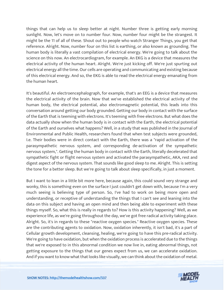things that can help us to sleep better at night. Number three is getting early morning sunlight. Now, let's move on to number four. Now, number four might be the strangest. It might be the 11 of all of these. Shout out to people who watch Stranger Things, you get that reference. Alright. Now, number four on this list is earthing, or also known as grounding. The human body is literally a vast compilation of electrical energy. We're going to talk about the science on this now. An electrocardiogram, for example. An EKG is a device that measures the electrical activity of the human heart. Alright. We're just kicking off. We're just spurting out electrical energy all the time. Our cells are operating and communicating and existing because of this electrical energy. And so, the EKG is able to read the electrical energy emanating from the human heart.

It's beautiful. An electroencephalograph, for example, that's an EEG is a device that measures the electrical activity of the brain. Now that we've established the electrical activity of the human body, the electrical potential, also electromagnetic potential, this leads into this conversation around getting our body grounded. Getting our body in contact with the surface of the Earth that is teeming with electrons. It's teeming with free electrons. But what does the data actually show when the human body is in contact with the Earth, the electrical potential of the Earth and ourselves what happens? Well, in a study that was published in the Journal of Environmental and Public Health, researchers found that when test subjects were grounded, I.e. Their bodies were in direct contact with the Earth, there was a "rapid activation of the parasympathetic nervous system, and corresponding de-activation of the sympathetic nervous system,". Getting the human body in contact with the Earth, literally decelerated that sympathetic fight or flight nervous system and activated the parasympathetic, AKA, rest and digest aspect of the nervous system. That sounds like good sleep to me. Alright. This is setting the tone for a better sleep. But we're going to talk about sleep specifically, in just a moment.

But I want to lean in a little bit more here, because again, this could sound very strange and wonky, this is something even on the surface I just couldn't get down with, because I'm a very much seeing is believing type of person. So, I've had to work on being more open and understanding, or receptive of understanding the things that I can't see and leaning into the data on this subject and having an open mind and then being able to experiment with these things myself. So, what this is really in regards to? How is this activity happening? Well, as we experience life, as we're going throughout the day, we've got free radical activity taking place. Alright. So, it's in regards to these "reactive oxygen species." Reactive oxygen species. These are the contributing agents to oxidation. Now, oxidation inherently, it isn't bad, it's a part of Cellular growth development, cleansing, healing, we're going to have this pre-radical activity. We're going to have oxidation, but when the oxidation process is accelerated due to the things that we're exposed to in this abnormal condition we now live in, eating abnormal things, not getting exposure to the things that our genes expect from us, we can accelerate oxidation. [And if you want to know what that looks like visually, we can think about the oxidation of metal.](https://themodelhealthshow.com/sleep-better/)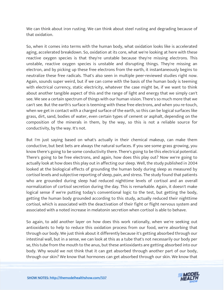We can think about iron rusting. We can think about steel rusting and degrading because of that oxidation.

So, when it comes into terms with the human body, what oxidation looks like is accelerated aging, accelerated breakdown. So, oxidation at its core, what we're looking at here with these reactive oxygen species is that they're unstable because they're missing electrons. This unstable, reactive oxygen species is unstable and disrupting things. They're missing an electron, and by picking up these free electrons from the earth, it instantaneously begins to neutralize these free radicals. That's also seen in multiple peer-reviewed studies right now. Again, sounds super weird, but if we can come with the basis of the human body is teeming with electrical currency, static electricity, whatever the case might be, if we want to think about another tangible aspect of this and the range of light and energy that we simply can't see. We see a certain spectrum of things with our human vision. There's so much more that we can't see. But the earth's surface is teeming with these free electrons, and when you re-touch, when we get in contact with a charged surface of the earth, so this can be logical surfaces like grass, dirt, sand, bodies of water, even certain types of cement or asphalt, depending on the composition of the minerals in them, by the way, so this is not a reliable source for conductivity, by the way. It's not.

But I'm just saying based on what's actually in their chemical makeup, can make them conductive, but best bets are always the natural surfaces. If you see some grass growing, you know there's going to be some conductivity there. There's going to be this electrical potential. There's going to be free electrons, and again, how does this play out? Now we're going to actually look at how does this play out in affecting our sleep. Well, the study published in 2004 looked at the biological effects of grounding the human body during sleep as measured by cortisol levels and subjective reporting of sleep, pain, and stress. The study found that patients who are grounded during sleep had reduced nighttime levels of cortisol and an overall normalization of cortisol secretion during the day. This is remarkable. Again, it doesn't make logical sense if we're putting today's conventional logic to the test, but getting the body, getting the human body grounded according to this study, actually reduced their nighttime cortisol, which is associated with the deactivation of their fight or flight nervous system and associated with a noted increase in melatonin secretion when cortisol is able to behave.

So again, to add another layer on how does this work rationally, when we're seeking out antioxidants to help to reduce this oxidation process from our food, we're absorbing that through our body. We just think about it differently because it's getting absorbed through our intestinal wall, but in a sense, we can look at this as a tube that's not necessarily our body per se, this tube from the mouth to the anus, but these antioxidants are getting absorbed into our body. Why would we not think that it can get absorbed through another part of our body, [through our skin? We know that hormones can get absorbed through our skin. We know that](https://themodelhealthshow.com/sleep-better/)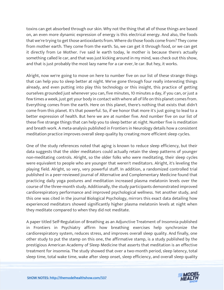toxins can get absorbed through our skin. Why not the thing that all of those things are based on, an even more dynamic expression of energy is this electrical energy. And also, the foods that we're trying to get those antioxidants from. Where do those foods come from? They come from mother earth. They come from the earth. So, we can get it through food, or we can get it directly from Le Mother. I've said le earth today, le mother is because there's actually something called le car, and that was just kicking around in my mind, was check out this show, and that is just probably the most lazy name for a car ever, le car. But hey, it works.

Alright, now we're going to move on here to number five on our list of these strange things that can help you to sleep better at night. We've gone through four really interesting things already, and even putting into play this technology or this insight, this practice of getting ourselves grounded just whenever you can, five minutes, 10 minutes a day, if you can, or just a few times a week, just get your body in contact with where all of life on this planet comes from. Everything comes from the earth. Here on this planet, there's nothing that exists that didn't come from this planet. It's that powerful. So, if we honor that more it's just going to lead to a better expression of health. But here we are at number five. And number five on our list of these five strange things that can help you to sleep better at night. Number five is meditation and breath work. A meta-analysis published in Frontiers in Neurology details how a consistent meditation practice improves overall sleep quality by creating more efficient sleep cycles.

One of the study references noted that aging is known to reduce sleep efficiency, but their data suggests that the older meditators could actually retain the sleep patterns of younger non-meditating controls. Alright, so the older folks who were meditating, their sleep cycles were equivalent to people who are younger that weren't meditators. Alright, it's leveling the playing field. Alright, so very, very powerful stuff. In addition, a randomized controlled trial published in a peer-reviewed journal of Alternative and Complementary Medicine found that practicing daily yoga postures and meditation increased plasma melatonin levels over the course of the three-month study. Additionally, the study participants demonstrated improved cardiorespiratory performance and improved psychological wellness. Yet another study, and this one was cited in the journal Biological Psychology, mirrors this exact data detailing how experienced meditators showed significantly higher plasma melatonin levels at night when they meditate compared to when they did not meditate.

A paper titled Self-Regulation of Breathing as an Adjunctive Treatment of Insomnia published in Frontiers in Psychiatry affirm how breathing exercises help synchronize the cardiorespiratory system, reduces stress, and improves overall sleep quality. And finally, one other study to put the stamp on this one, the affirmative stamp, is a study published by the prestigious American Academy of Sleep Medicine that asserts that meditation is an effective treatment for insomnia. The study showed that over a two-month period, sleep latency, total [sleep time, total wake time, wake after sleep onset, sleep efficiency, and overall sleep quality](https://themodelhealthshow.com/sleep-better/) 

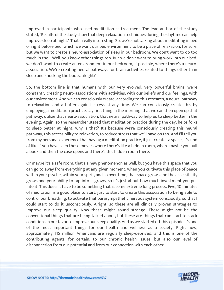improved in participants who used meditation as treatment. The lead author of the study stated, "Results of the study show that deep relaxation techniques during the daytime can help improve sleep at night." That's really interesting. So, we're not talking about meditating in bed or right before bed, which we want our bed environment to be a place of relaxation, for sure, but we want to create a neuro-association of sleep in our bedroom. We don't want to do too much in the... Well, you know other things too. But we don't want to bring work into our bed, we don't want to create an environment in our bedroom, if possible, where there's a neuroassociation. We're creating neural pathways for brain activities related to things other than sleep and knocking the boots, alright?

So, the bottom line is that humans with our very evolved, very powerful brains, we're constantly creating neuro-associations with activities, with our beliefs and our feelings, with our environment. And we can consciously create, according to this research, a neural pathway to relaxation and a buffer against stress at any time. We can consciously create this by employing a meditation practice, say first thing in the morning, that we can then open up that pathway, utilize that neuro-association, that neural pathway to help us to sleep better in the evening. Again, so the researcher stated that meditation practice during the day, helps folks to sleep better at night, why is that? It's because we're consciously creating this neural pathway, this accessibility to relaxation, to reduce stress that we'll have on tap. And I'll tell you from my personal experience that having a meditation practice, it just creates a space, it's kind of like if you have seen those movies where there's like a hidden room, where maybe you pull a book and then the case opens and there's this hidden room there.

Or maybe it's a safe room, that's a new phenomenon as well, but you have this space that you can go to away from everything at any given moment, when you cultivate this place of peace within your psyche, within your spirit, and so over time, that space grows and the accessibility grows and your ability to tap into it grows, so it's just about how much investment you put into it. This doesn't have to be something that is some extreme long process. Five, 10 minutes of meditation is a good place to start, just to start to create this association to being able to control our breathing, to activate that parasympathetic nervous system consciously, so that I could start to do it unconsciously. Alright, so these are all clinically proven strategies to improve our sleep quality. Now these might sound strange. These might not be the conventional things that are being talked about, but these are things that can start to stack conditions in our favor to improve our sleep quality. And as we started off this episode it's one of the most important things for our health and wellness as a society. Right now, approximately 115 million Americans are regularly sleep-deprived, and this is one of the contributing agents, for certain, to our chronic health issues, but also our level of disconnection from our potential and from our connection with each other.